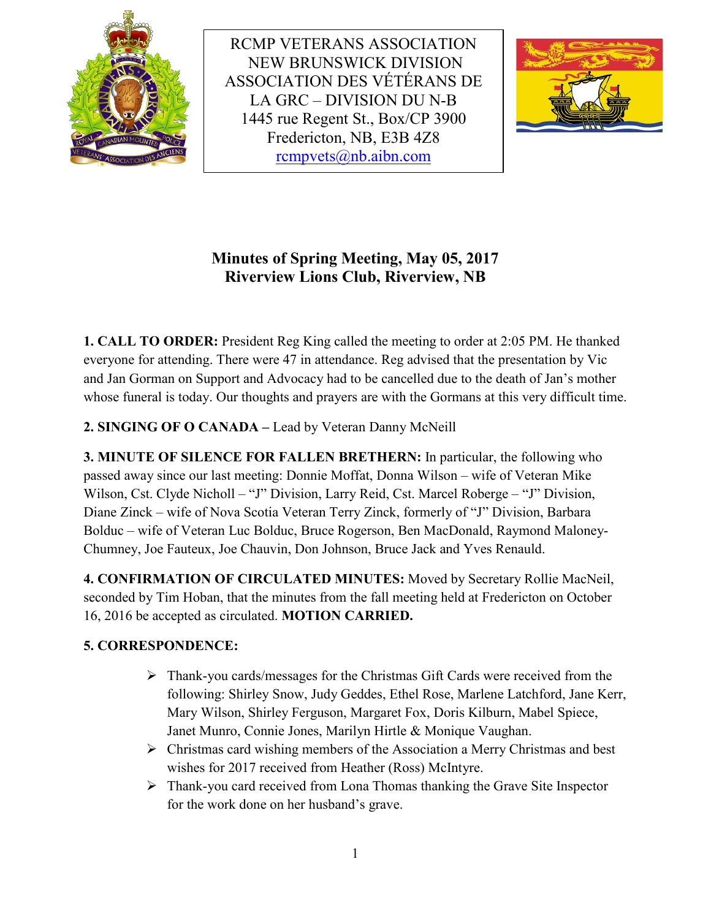

RCMP VETERANS ASSOCIATION NEW BRUNSWICK DIVISION ASSOCIATION DES VÉTÉRANS DE LA GRC – DIVISION DU N-B 1445 rue Regent St., Box/CP 3900 Fredericton, NB, E3B 4Z8 [rcmpvets@nb.aibn.com](mailto:rcmpvets@nb.aibn.com)



# **Minutes of Spring Meeting, May 05, 2017 Riverview Lions Club, Riverview, NB**

**1. CALL TO ORDER:** President Reg King called the meeting to order at 2:05 PM. He thanked everyone for attending. There were 47 in attendance. Reg advised that the presentation by Vic and Jan Gorman on Support and Advocacy had to be cancelled due to the death of Jan's mother whose funeral is today. Our thoughts and prayers are with the Gormans at this very difficult time.

**2. SINGING OF O CANADA –** Lead by Veteran Danny McNeill

**3. MINUTE OF SILENCE FOR FALLEN BRETHERN:** In particular, the following who passed away since our last meeting: Donnie Moffat, Donna Wilson – wife of Veteran Mike Wilson, Cst. Clyde Nicholl – "J" Division, Larry Reid, Cst. Marcel Roberge – "J" Division, Diane Zinck – wife of Nova Scotia Veteran Terry Zinck, formerly of "J" Division, Barbara Bolduc – wife of Veteran Luc Bolduc, Bruce Rogerson, Ben MacDonald, Raymond Maloney-Chumney, Joe Fauteux, Joe Chauvin, Don Johnson, Bruce Jack and Yves Renauld.

**4. CONFIRMATION OF CIRCULATED MINUTES:** Moved by Secretary Rollie MacNeil, seconded by Tim Hoban, that the minutes from the fall meeting held at Fredericton on October 16, 2016 be accepted as circulated. **MOTION CARRIED.**

## **5. CORRESPONDENCE:**

- $\triangleright$  Thank-you cards/messages for the Christmas Gift Cards were received from the following: Shirley Snow, Judy Geddes, Ethel Rose, Marlene Latchford, Jane Kerr, Mary Wilson, Shirley Ferguson, Margaret Fox, Doris Kilburn, Mabel Spiece, Janet Munro, Connie Jones, Marilyn Hirtle & Monique Vaughan.
- $\triangleright$  Christmas card wishing members of the Association a Merry Christmas and best wishes for 2017 received from Heather (Ross) McIntyre.
- Thank-you card received from Lona Thomas thanking the Grave Site Inspector for the work done on her husband's grave.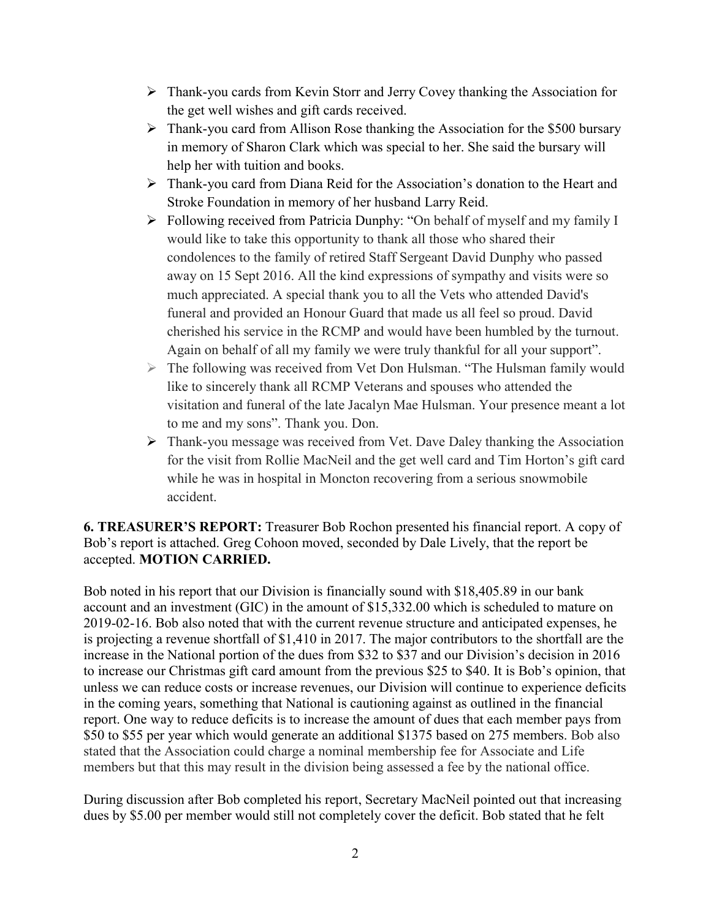- Thank-you cards from Kevin Storr and Jerry Covey thanking the Association for the get well wishes and gift cards received.
- Thank-you card from Allison Rose thanking the Association for the \$500 bursary in memory of Sharon Clark which was special to her. She said the bursary will help her with tuition and books.
- Thank-you card from Diana Reid for the Association's donation to the Heart and Stroke Foundation in memory of her husband Larry Reid.
- Following received from Patricia Dunphy: "On behalf of myself and my family I would like to take this opportunity to thank all those who shared their condolences to the family of retired Staff Sergeant David Dunphy who passed away on 15 Sept 2016. All the kind expressions of sympathy and visits were so much appreciated. A special thank you to all the Vets who attended David's funeral and provided an Honour Guard that made us all feel so proud. David cherished his service in the RCMP and would have been humbled by the turnout. Again on behalf of all my family we were truly thankful for all your support".
- The following was received from Vet Don Hulsman. "The Hulsman family would like to sincerely thank all RCMP Veterans and spouses who attended the visitation and funeral of the late Jacalyn Mae Hulsman. Your presence meant a lot to me and my sons". Thank you. Don.
- Thank-you message was received from Vet. Dave Daley thanking the Association for the visit from Rollie MacNeil and the get well card and Tim Horton's gift card while he was in hospital in Moncton recovering from a serious snowmobile accident.

**6. TREASURER'S REPORT:** Treasurer Bob Rochon presented his financial report. A copy of Bob's report is attached. Greg Cohoon moved, seconded by Dale Lively, that the report be accepted. **MOTION CARRIED.**

Bob noted in his report that our Division is financially sound with \$18,405.89 in our bank account and an investment (GIC) in the amount of \$15,332.00 which is scheduled to mature on 2019-02-16. Bob also noted that with the current revenue structure and anticipated expenses, he is projecting a revenue shortfall of \$1,410 in 2017. The major contributors to the shortfall are the increase in the National portion of the dues from \$32 to \$37 and our Division's decision in 2016 to increase our Christmas gift card amount from the previous \$25 to \$40. It is Bob's opinion, that unless we can reduce costs or increase revenues, our Division will continue to experience deficits in the coming years, something that National is cautioning against as outlined in the financial report. One way to reduce deficits is to increase the amount of dues that each member pays from \$50 to \$55 per year which would generate an additional \$1375 based on 275 members. Bob also stated that the Association could charge a nominal membership fee for Associate and Life members but that this may result in the division being assessed a fee by the national office.

During discussion after Bob completed his report, Secretary MacNeil pointed out that increasing dues by \$5.00 per member would still not completely cover the deficit. Bob stated that he felt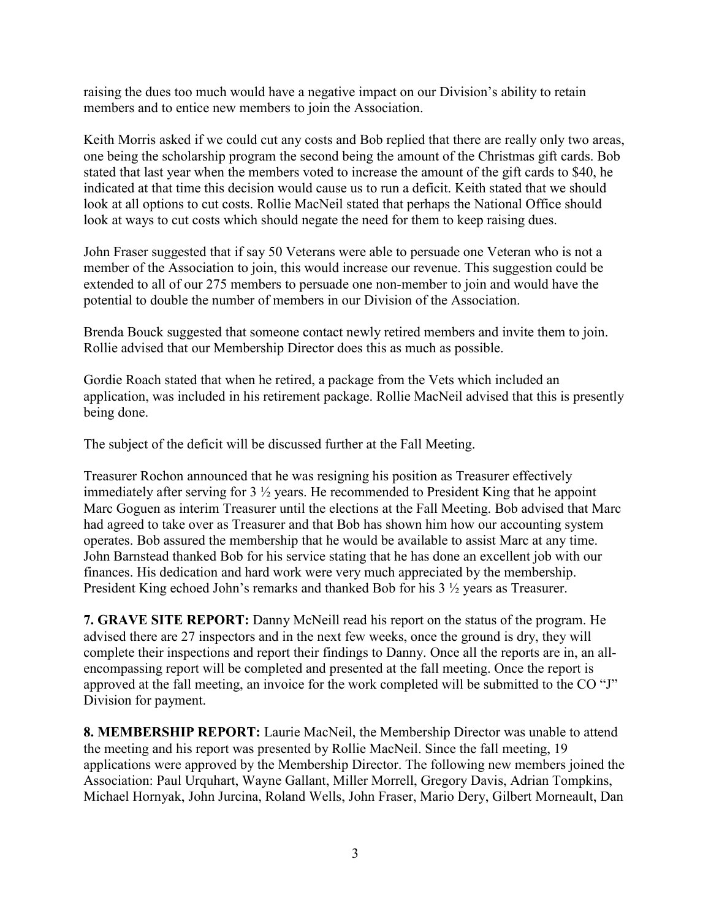raising the dues too much would have a negative impact on our Division's ability to retain members and to entice new members to join the Association.

Keith Morris asked if we could cut any costs and Bob replied that there are really only two areas, one being the scholarship program the second being the amount of the Christmas gift cards. Bob stated that last year when the members voted to increase the amount of the gift cards to \$40, he indicated at that time this decision would cause us to run a deficit. Keith stated that we should look at all options to cut costs. Rollie MacNeil stated that perhaps the National Office should look at ways to cut costs which should negate the need for them to keep raising dues.

John Fraser suggested that if say 50 Veterans were able to persuade one Veteran who is not a member of the Association to join, this would increase our revenue. This suggestion could be extended to all of our 275 members to persuade one non-member to join and would have the potential to double the number of members in our Division of the Association.

Brenda Bouck suggested that someone contact newly retired members and invite them to join. Rollie advised that our Membership Director does this as much as possible.

Gordie Roach stated that when he retired, a package from the Vets which included an application, was included in his retirement package. Rollie MacNeil advised that this is presently being done.

The subject of the deficit will be discussed further at the Fall Meeting.

Treasurer Rochon announced that he was resigning his position as Treasurer effectively immediately after serving for 3 ½ years. He recommended to President King that he appoint Marc Goguen as interim Treasurer until the elections at the Fall Meeting. Bob advised that Marc had agreed to take over as Treasurer and that Bob has shown him how our accounting system operates. Bob assured the membership that he would be available to assist Marc at any time. John Barnstead thanked Bob for his service stating that he has done an excellent job with our finances. His dedication and hard work were very much appreciated by the membership. President King echoed John's remarks and thanked Bob for his 3 ½ years as Treasurer.

**7. GRAVE SITE REPORT:** Danny McNeill read his report on the status of the program. He advised there are 27 inspectors and in the next few weeks, once the ground is dry, they will complete their inspections and report their findings to Danny. Once all the reports are in, an allencompassing report will be completed and presented at the fall meeting. Once the report is approved at the fall meeting, an invoice for the work completed will be submitted to the CO "J" Division for payment.

**8. MEMBERSHIP REPORT:** Laurie MacNeil, the Membership Director was unable to attend the meeting and his report was presented by Rollie MacNeil. Since the fall meeting, 19 applications were approved by the Membership Director. The following new members joined the Association: Paul Urquhart, Wayne Gallant, Miller Morrell, Gregory Davis, Adrian Tompkins, Michael Hornyak, John Jurcina, Roland Wells, John Fraser, Mario Dery, Gilbert Morneault, Dan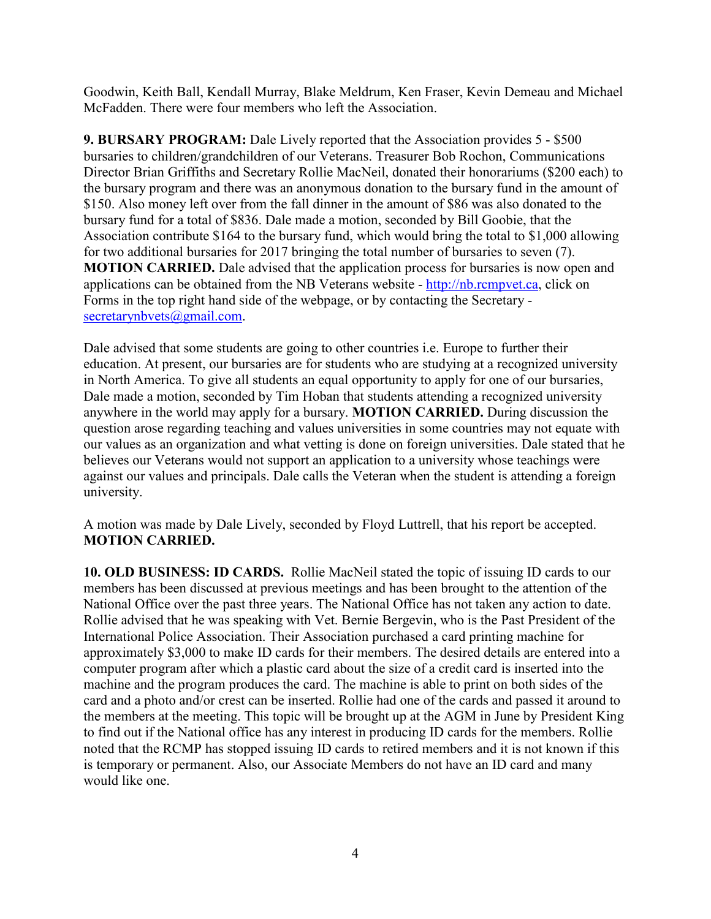Goodwin, Keith Ball, Kendall Murray, Blake Meldrum, Ken Fraser, Kevin Demeau and Michael McFadden. There were four members who left the Association.

**9. BURSARY PROGRAM:** Dale Lively reported that the Association provides 5 - \$500 bursaries to children/grandchildren of our Veterans. Treasurer Bob Rochon, Communications Director Brian Griffiths and Secretary Rollie MacNeil, donated their honorariums (\$200 each) to the bursary program and there was an anonymous donation to the bursary fund in the amount of \$150. Also money left over from the fall dinner in the amount of \$86 was also donated to the bursary fund for a total of \$836. Dale made a motion, seconded by Bill Goobie, that the Association contribute \$164 to the bursary fund, which would bring the total to \$1,000 allowing for two additional bursaries for 2017 bringing the total number of bursaries to seven (7). **MOTION CARRIED.** Dale advised that the application process for bursaries is now open and applications can be obtained from the NB Veterans website - [http://nb.rcmpvet.ca,](http://nb.rcmpvet.ca/) click on Forms in the top right hand side of the webpage, or by contacting the Secretary [secretarynbvets@gmail.com.](mailto:secretarynbvets@gmail.com)

Dale advised that some students are going to other countries i.e. Europe to further their education. At present, our bursaries are for students who are studying at a recognized university in North America. To give all students an equal opportunity to apply for one of our bursaries, Dale made a motion, seconded by Tim Hoban that students attending a recognized university anywhere in the world may apply for a bursary. **MOTION CARRIED.** During discussion the question arose regarding teaching and values universities in some countries may not equate with our values as an organization and what vetting is done on foreign universities. Dale stated that he believes our Veterans would not support an application to a university whose teachings were against our values and principals. Dale calls the Veteran when the student is attending a foreign university.

A motion was made by Dale Lively, seconded by Floyd Luttrell, that his report be accepted. **MOTION CARRIED.**

**10. OLD BUSINESS: ID CARDS.** Rollie MacNeil stated the topic of issuing ID cards to our members has been discussed at previous meetings and has been brought to the attention of the National Office over the past three years. The National Office has not taken any action to date. Rollie advised that he was speaking with Vet. Bernie Bergevin, who is the Past President of the International Police Association. Their Association purchased a card printing machine for approximately \$3,000 to make ID cards for their members. The desired details are entered into a computer program after which a plastic card about the size of a credit card is inserted into the machine and the program produces the card. The machine is able to print on both sides of the card and a photo and/or crest can be inserted. Rollie had one of the cards and passed it around to the members at the meeting. This topic will be brought up at the AGM in June by President King to find out if the National office has any interest in producing ID cards for the members. Rollie noted that the RCMP has stopped issuing ID cards to retired members and it is not known if this is temporary or permanent. Also, our Associate Members do not have an ID card and many would like one.